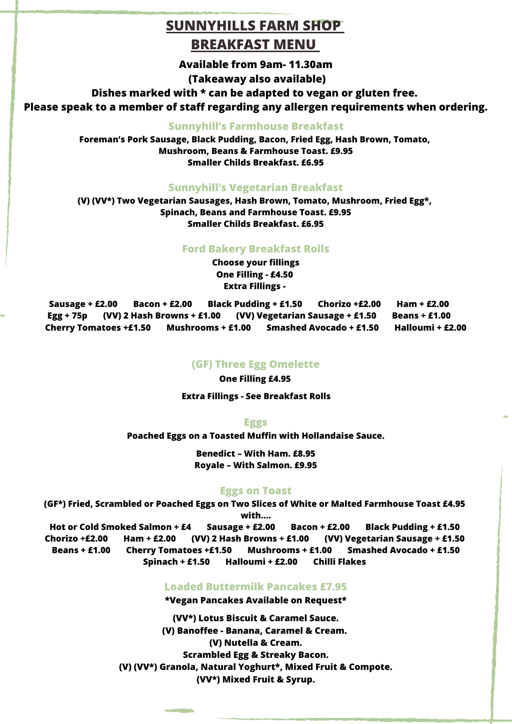# **SUNNYHILLS FARM SHOP BREAKFAST MENU**

**Available from 9am- 11.30am**

**(Takeaway also available)**

**Dishes marked with \* can be adapted to vegan or gluten free.**

**Please speak to a member of staff regarding any allergen requirements when ordering.**

### **Sunnyhill's Farmhouse Breakfast**

**Foreman's Pork Sausage, Black Pudding, Bacon, Fried Egg, Hash Brown, Tomato, Mushroom, Beans & Farmhouse Toast. £9.95 Smaller Childs Breakfast. £6.95**

### **Sunnyhill's Vegetarian Breakfast**

**(V) (VV\*) Two Vegetarian Sausages, Hash Brown, Tomato, Mushroom, Fried Egg\*, Spinach, Beans and Farmhouse Toast. £9.95 Smaller Childs Breakfast. £6.95**

### **Ford Bakery Breakfast Rolls**

**Choose your fillings One Filling - £4.50 Extra Fillings -**

**Sausage + £2.00 Bacon + £2.00 Black Pudding + £1.50 Chorizo +£2.00 Ham + £2.00 Egg + 75p (VV) 2 Hash Browns + £1.00 (VV) Vegetarian Sausage + £1.50 Beans + £1.00 Cherry Tomatoes +£1.50 Mushrooms + £1.00 Smashed Avocado + £1.50 Halloumi + £2.00**

#### **(GF) Three Egg Omelette**

**One Filling £4.95**

**Extra Fillings - See Breakfast Rolls**

**Eggs**

**Poached Eggs on a Toasted Muffin with Hollandaise Sauce.**

**Benedict – With Ham. £8.95 Royale – With Salmon. £9.95**

## **Eggs on Toast**

**(GF\*) Fried, Scrambled or Poached Eggs on Two Slices of White or Malted Farmhouse Toast £4.95 with….**

**Hot or Cold Smoked Salmon + £4 Sausage + £2.00 Bacon + £2.00 Black Pudding + £1.50 Chorizo +£2.00 Ham + £2.00 (VV) 2 Hash Browns + £1.00 (VV) Vegetarian Sausage + £1.50 Beans + £1.00 Cherry Tomatoes +£1.50 Mushrooms + £1.00 Smashed Avocado + £1.50 Spinach + £1.50 Halloumi + £2.00 Chilli Flakes**

## **Loaded Buttermilk Pancakes £7.95**

**\*Vegan Pancakes Available on Request\***

**(VV\*) Lotus Biscuit & Caramel Sauce. (V) Banoffee - Banana, Caramel & Cream. (V) Nutella & Cream. Scrambled Egg & Streaky Bacon. (V) (VV\*) Granola, Natural Yoghurt\*, Mixed Fruit & Compote. (VV\*) Mixed Fruit & Syrup.**